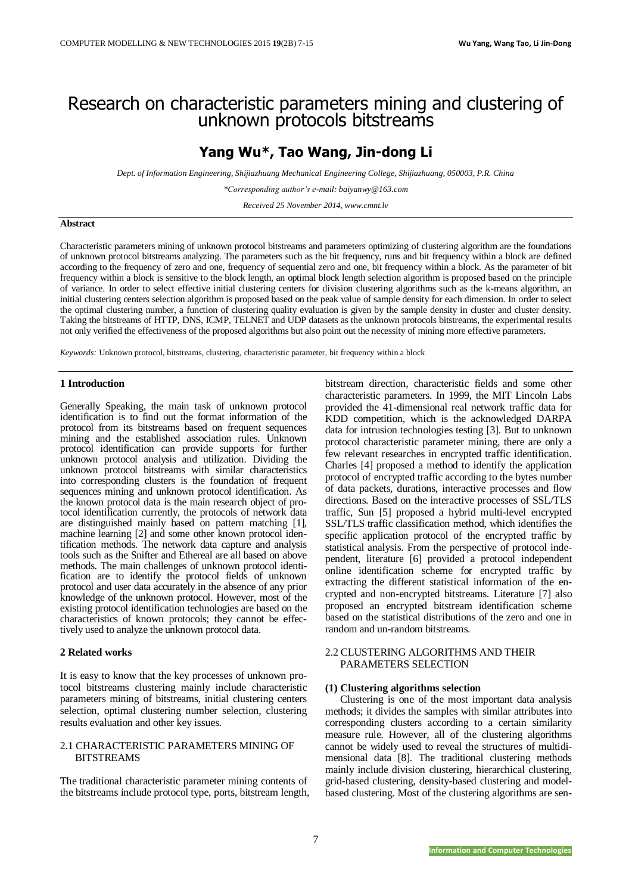# Research on characteristic parameters mining and clustering of unknown protocols bitstreams

# **Yang Wu\* , Tao Wang, Jin-dong Li**

*Dept. of Information Engineering, Shijiazhuang Mechanical Engineering College, Shijiazhuang, 050003, P.R. China*

*\*Corresponding author's e-mail: baiyanwy@163.com*

*Received 25 November 2014, www.cmnt.lv*

## **Abstract**

Characteristic parameters mining of unknown protocol bitstreams and parameters optimizing of clustering algorithm are the foundations of unknown protocol bitstreams analyzing. The parameters such as the bit frequency, runs and bit frequency within a block are defined according to the frequency of zero and one, frequency of sequential zero and one, bit frequency within a block. As the parameter of bit frequency within a block is sensitive to the block length, an optimal block length selection algorithm is proposed based on the principle of variance. In order to select effective initial clustering centers for division clustering algorithms such as the k-means algorithm, an initial clustering centers selection algorithm is proposed based on the peak value of sample density for each dimension. In order to select the optimal clustering number, a function of clustering quality evaluation is given by the sample density in cluster and cluster density. Taking the bitstreams of HTTP, DNS, ICMP, TELNET and UDP datasets as the unknown protocols bitstreams, the experimental results not only verified the effectiveness of the proposed algorithms but also point out the necessity of mining more effective parameters.

*Keywords:* Unknown protocol, bitstreams, clustering, characteristic parameter, bit frequency within a block

### **1 Introduction**

Generally Speaking, the main task of unknown protocol identification is to find out the format information of the protocol from its bitstreams based on frequent sequences mining and the established association rules. Unknown protocol identification can provide supports for further unknown protocol analysis and utilization. Dividing the unknown protocol bitstreams with similar characteristics into corresponding clusters is the foundation of frequent sequences mining and unknown protocol identification. As the known protocol data is the main research object of protocol identification currently, the protocols of network data are distinguished mainly based on pattern matching [1], machine learning [2] and some other known protocol identification methods. The network data capture and analysis tools such as the Snifter and Ethereal are all based on above methods. The main challenges of unknown protocol identification are to identify the protocol fields of unknown protocol and user data accurately in the absence of any prior knowledge of the unknown protocol. However, most of the existing protocol identification technologies are based on the characteristics of known protocols; they cannot be effectively used to analyze the unknown protocol data.

# **2 Related works**

It is easy to know that the key processes of unknown protocol bitstreams clustering mainly include characteristic parameters mining of bitstreams, initial clustering centers selection, optimal clustering number selection, clustering results evaluation and other key issues.

# 2.1 CHARACTERISTIC PARAMETERS MINING OF BITSTREAMS

The traditional characteristic parameter mining contents of the bitstreams include protocol type, ports, bitstream length, bitstream direction, characteristic fields and some other characteristic parameters. In 1999, the MIT Lincoln Labs provided the 41-dimensional real network traffic data for KDD competition, which is the acknowledged DARPA data for intrusion technologies testing [3]. But to unknown protocol characteristic parameter mining, there are only a few relevant researches in encrypted traffic identification. Charles [4] proposed a method to identify the application protocol of encrypted traffic according to the bytes number of data packets, durations, interactive processes and flow directions. Based on the interactive processes of SSL/TLS traffic, Sun [5] proposed a hybrid multi-level encrypted SSL/TLS traffic classification method, which identifies the specific application protocol of the encrypted traffic by statistical analysis. From the perspective of protocol independent, literature [6] provided a protocol independent online identification scheme for encrypted traffic by extracting the different statistical information of the encrypted and non-encrypted bitstreams. Literature [7] also proposed an encrypted bitstream identification scheme based on the statistical distributions of the zero and one in random and un-random bitstreams.

## 2.2 CLUSTERING ALGORITHMS AND THEIR PARAMETERS SELECTION

### **(1) Clustering algorithms selection**

Clustering is one of the most important data analysis methods; it divides the samples with similar attributes into corresponding clusters according to a certain similarity measure rule. However, all of the clustering algorithms cannot be widely used to reveal the structures of multidimensional data [8]. The traditional clustering methods mainly include division clustering, hierarchical clustering, grid-based clustering, density-based clustering and modelbased clustering. Most of the clustering algorithms are sen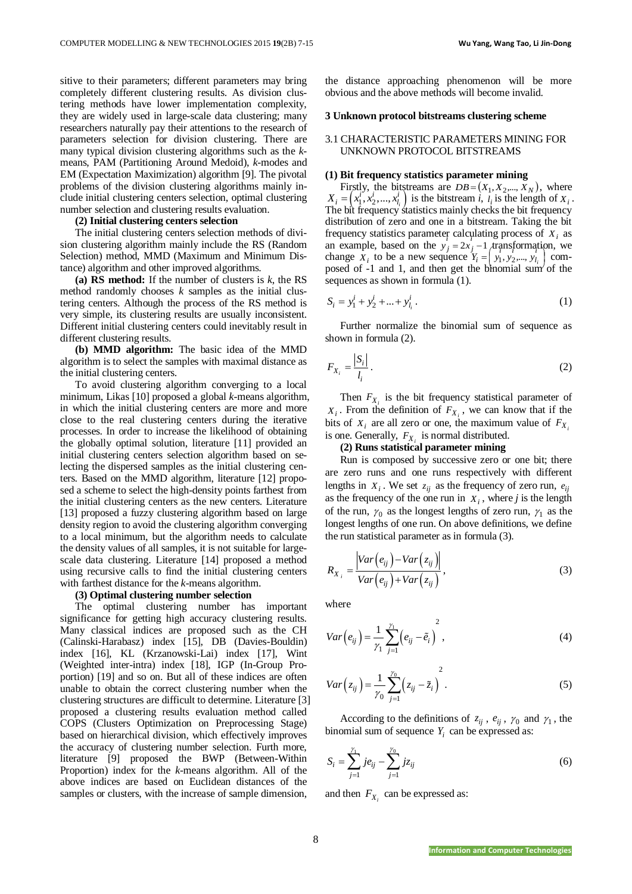sitive to their parameters; different parameters may bring completely different clustering results. As division clustering methods have lower implementation complexity, they are widely used in large-scale data clustering; many researchers naturally pay their attentions to the research of parameters selection for division clustering. There are many typical division clustering algorithms such as the *k*means, PAM (Partitioning Around Medoid), *k*-modes and EM (Expectation Maximization) algorithm [9]. The pivotal problems of the division clustering algorithms mainly include initial clustering centers selection, optimal clustering number selection and clustering results evaluation.

### **(2) Initial clustering centers selection**

The initial clustering centers selection methods of division clustering algorithm mainly include the RS (Random Selection) method, MMD (Maximum and Minimum Distance) algorithm and other improved algorithms.

**(a) RS method:** If the number of clusters is *k*, the RS method randomly chooses *k* samples as the initial clustering centers. Although the process of the RS method is very simple, its clustering results are usually inconsistent. Different initial clustering centers could inevitably result in different clustering results.

**(b) MMD algorithm:** The basic idea of the MMD algorithm is to select the samples with maximal distance as the initial clustering centers.

To avoid clustering algorithm converging to a local minimum, Likas [10] proposed a global *k*-means algorithm, in which the initial clustering centers are more and more close to the real clustering centers during the iterative processes. In order to increase the likelihood of obtaining the globally optimal solution, literature [11] provided an initial clustering centers selection algorithm based on selecting the dispersed samples as the initial clustering centers. Based on the MMD algorithm, literature [12] proposed a scheme to select the high-density points farthest from the initial clustering centers as the new centers. Literature [13] proposed a fuzzy clustering algorithm based on large density region to avoid the clustering algorithm converging to a local minimum, but the algorithm needs to calculate the density values of all samples, it is not suitable for largescale data clustering. Literature [14] proposed a method using recursive calls to find the initial clustering centers with farthest distance for the *k*-means algorithm.

### **(3) Optimal clustering number selection**

The optimal clustering number has important significance for getting high accuracy clustering results. Many classical indices are proposed such as the CH (Calinski-Harabasz) index [15], DB (Davies-Bouldin) index [16], KL (Krzanowski-Lai) index [17], Wint (Weighted inter-intra) index [18], IGP (In-Group Proportion) [19] and so on. But all of these indices are often unable to obtain the correct clustering number when the clustering structures are difficult to determine. Literature [3] proposed a clustering results evaluation method called COPS (Clusters Optimization on Preprocessing Stage) based on hierarchical division, which effectively improves the accuracy of clustering number selection. Furth more, literature [9] proposed the BWP (Between-Within Proportion) index for the *k*-means algorithm. All of the above indices are based on Euclidean distances of the samples or clusters, with the increase of sample dimension,

the distance approaching phenomenon will be more obvious and the above methods will become invalid.

### **3 Unknown protocol bitstreams clustering scheme**

## 3.1 CHARACTERISTIC PARAMETERS MINING FOR UNKNOWN PROTOCOL BITSTREAMS

### **(1) Bit frequency statistics parameter mining**

Firstly, the bitstreams are  $DB = (X_1, X_2, \dots, X_N)$ , where  $X_i = (x_1^i, x_2^i, ..., x_{l_i}^i)$  is the bitstream *i*,  $l_i$  is the length of  $X_i$ . The bit frequency statistics mainly checks the bit frequency distribution of zero and one in a bitstream. Taking the bit frequency statistics parameter calculating process of  $X_i$  as an example, based on the  $y'_{j} = 2x'_{j} - 1$  transformation, we change  $X_i$  to be a new sequence  $Y_i = \begin{pmatrix} x_i & y_i \\ y_1 & y_2, ..., y_l \end{pmatrix}$ posed of  $-1$  and 1, and then get the binomial sum of the *l*  $\prod_{i=1}^{n}$  $Y_i = \left[ y_1, y_2, \dots, y_{l_i} \right]$  comsequences as shown in formula (1).

$$
S_i = y_1^i + y_2^i + \dots + y_{l_i}^i. \tag{1}
$$

Further normalize the binomial sum of sequence as shown in formula (2).

$$
F_{X_i} = \frac{|S_i|}{l_i} \,. \tag{2}
$$

Then  $F_{X_i}$  is the bit frequency statistical parameter of  $X_i$ . From the definition of  $F_{X_i}$ , we can know that if the bits of  $X_i$  are all zero or one, the maximum value of  $F_{X_i}$ is one. Generally,  $F_{X_i}$  is normal distributed.

## **(2) Runs statistical parameter mining**

Run is composed by successive zero or one bit; there are zero runs and one runs respectively with different lengths in  $X_i$ . We set  $z_{ij}$  as the frequency of zero run,  $e_{ij}$ as the frequency of the one run in  $X_i$ , where *j* is the length of the run,  $\gamma_0$  as the longest lengths of zero run,  $\gamma_1$  as the longest lengths of one run. On above definitions, we define the run statistical parameter as in formula (3).

$$
R_{X_i} = \frac{\left|Var\left(e_{ij}\right) - Var\left(z_{ij}\right)\right|}{Var\left(e_{ij}\right) + Var\left(z_{ij}\right)},
$$
\n(3)

where

$$
Var\left(e_{ij}\right) = \frac{1}{\gamma_1} \sum_{j=1}^{\gamma_1} \left(e_{ij} - \tilde{e}_i\right)^2, \tag{4}
$$

$$
Var(z_{ij}) = \frac{1}{\gamma_0} \sum_{j=1}^{\gamma_0} \left( z_{ij} - \tilde{z}_i \right)^2.
$$
 (5)

According to the definitions of  $z_{ij}$ ,  $e_{ij}$ ,  $\gamma_0$  and  $\gamma_1$ , the binomial sum of sequence  $Y_i$  can be expressed as:

$$
S_i = \sum_{j=1}^{\gamma_1} j e_{ij} - \sum_{j=1}^{\gamma_0} j z_{ij}
$$
 (6)

and then  $F_{X_i}$  can be expressed as: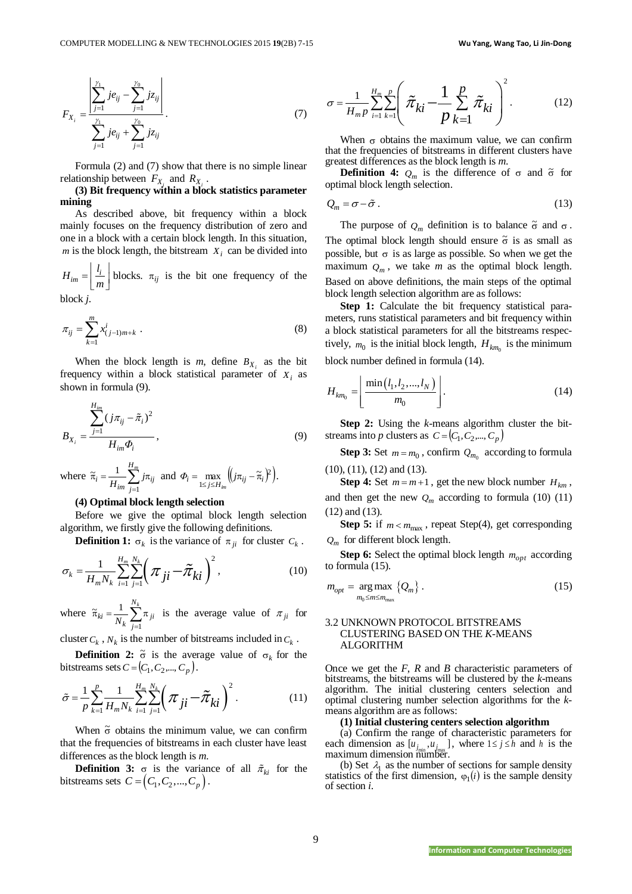$$
F_{X_i} = \frac{\left| \sum_{j=1}^{\gamma_1} j e_{ij} - \sum_{j=1}^{\gamma_0} j z_{ij} \right|}{\sum_{j=1}^{\gamma_1} j e_{ij} + \sum_{j=1}^{\gamma_0} j z_{ij}}.
$$
 (7)

Formula (2) and (7) show that there is no simple linear relationship between  $F_{X_i}$  and  $R_{X_i}$ .

**(3) Bit frequency within a block statistics parameter mining**

As described above, bit frequency within a block mainly focuses on the frequency distribution of zero and one in a block with a certain block length. In this situation, *m* is the block length, the bitstream  $X_i$  can be divided into

 $\left| \frac{u_i}{u_i} \right| = \frac{u_i}{u_i}$  $H_{im} = \frac{l_i}{m}$  $=\left\lfloor \frac{l_i}{m} \right\rfloor$  blocks.  $\pi_{ij}$  is the bit one frequency of the block *j*.

$$
\pi_{ij} = \sum_{k=1}^{m} x_{(j-1)m+k}^{i} \tag{8}
$$

When the block length is *m*, define  $B_{X_i}$  as the bit frequency within a block statistical parameter of  $X_i$  as shown in formula (9).

$$
B_{X_i} = \frac{\sum_{j=1}^{H_{im}} (j\pi_{ij} - \tilde{\pi}_i)^2}{H_{im} \Phi_i},
$$
\n(9)

where 
$$
\tilde{\pi}_i = \frac{1}{H_{im}} \sum_{j=1}^{H_m} j \pi_{ij}
$$
 and  $\Phi_i = \max_{1 \le j \le H_{im}} \left( j \pi_{ij} - \tilde{\pi}_i \right)^2$ .

### **(4) Optimal block length selection**

Before we give the optimal block length selection algorithm, we firstly give the following definitions.

**Definition 1:**  $\sigma_k$  is the variance of  $\pi_{ji}$  for cluster  $C_k$ .

$$
\sigma_k = \frac{1}{H_m N_k} \sum_{i=1}^{H_m} \sum_{j=1}^{N_k} \left( \pi_{ji} - \tilde{\pi}_{ki} \right)^2, \tag{10}
$$

where  $\tilde{\pi}_{ki} = \frac{1}{N_k} \sum_{j=1}^{k} \pi$ *Nk j*  $\chi_i = \frac{1}{N_k} \sum_{j=1}^{\infty} \pi_{ji}$  $\tilde{\pi}_{ki} = \frac{1}{N} \sum_{i=1}^{N_k} \pi_{ji}$  is the average value of  $\pi_{ji}$  for

cluster  $C_k$ ,  $N_k$  is the number of bitstreams included in  $C_k$ .

**Definition 2:**  $\tilde{\sigma}$  is the average value of  $\sigma_k$  for the bitstreams sets  $C = (C_1, C_2, \dots, C_p)$ .

$$
\tilde{\sigma} = \frac{1}{p} \sum_{k=1}^{p} \frac{1}{H_m N_k} \sum_{i=1}^{H_m} \sum_{j=1}^{N_k} \left( \pi_{ji} - \tilde{\pi}_{ki} \right)^2.
$$
 (11)

When  $\tilde{\sigma}$  obtains the minimum value, we can confirm that the frequencies of bitstreams in each cluster have least differences as the block length is *m*.

**Definition 3:**  $\sigma$  is the variance of all  $\tilde{\pi}_{ki}$  for the bitstreams sets  $C = (C_1, C_2, ..., C_p)$ .

$$
\sigma = \frac{1}{H_{m} p} \sum_{i=1}^{H_{m}} \sum_{k=1}^{p} \left( \tilde{\pi}_{ki} - \frac{1}{p} \sum_{k=1}^{p} \tilde{\pi}_{ki} \right)^{2}.
$$
 (12)

When  $\sigma$  obtains the maximum value, we can confirm that the frequencies of bitstreams in different clusters have greatest differences as the block length is *m*.

**Definition 4:**  $Q_m$  is the difference of  $\sigma$  and  $\tilde{\sigma}$  for optimal block length selection.

$$
Q_m = \sigma - \tilde{\sigma} \,. \tag{13}
$$

The purpose of  $Q_m$  definition is to balance  $\tilde{\sigma}$  and  $\sigma$ . The optimal block length should ensure  $\tilde{\sigma}$  is as small as possible, but  $\sigma$  is as large as possible. So when we get the maximum  $Q_m$ , we take *m* as the optimal block length. Based on above definitions, the main steps of the optimal block length selection algorithm are as follows:

**Step 1:** Calculate the bit frequency statistical parameters, runs statistical parameters and bit frequency within a block statistical parameters for all the bitstreams respectively,  $m_0$  is the initial block length,  $H_{km_0}$  is the minimum block number defined in formula (14).

$$
H_{km_0} = \left[ \frac{\min(l_1, l_2, ..., l_N)}{m_0} \right].
$$
 (14)

**Step 2:** Using the *k*-means algorithm cluster the bitstreams into *p* clusters as  $C = (C_1, C_2, ..., C_p)$ 

**Step 3:** Set  $m = m_0$ , confirm  $Q_{m_0}$  according to formula (10), (11), (12) and (13).

**Step 4:** Set  $m = m + 1$ , get the new block number  $H_{km}$ , and then get the new  $Q_m$  according to formula (10) (11) (12) and (13).

**Step 5:** if  $m < m_{\text{max}}$ , repeat Step(4), get corresponding *Q<sup>m</sup>* for different block length.

**Step 6:** Select the optimal block length  $m_{opt}$  according to formula (15).

$$
m_{opt} = \underset{m_0 \le m \le m_{\text{max}}}{\arg \max} \left\{ Q_m \right\}.
$$
 (15)

# 3.2 UNKNOWN PROTOCOL BITSTREAMS CLUSTERING BASED ON THE *K*-MEANS ALGORITHM

Once we get the *F*, *R* and *B* characteristic parameters of bitstreams, the bitstreams will be clustered by the *k*-means algorithm. The initial clustering centers selection and optimal clustering number selection algorithms for the *k*means algorithm are as follows:

## **(1) Initial clustering centers selection algorithm**

(a) Confirm the range of characteristic parameters for each dimension as  $[u_{j_{\text{min}}}, u_{j_{\text{max}}}]$ , where  $1 \le j \le h$  and h is the maximum dimension number.

(b) Set  $\lambda_1$  as the number of sections for sample density statistics of the first dimension,  $\varphi_1(i)$  is the sample density of section *i*.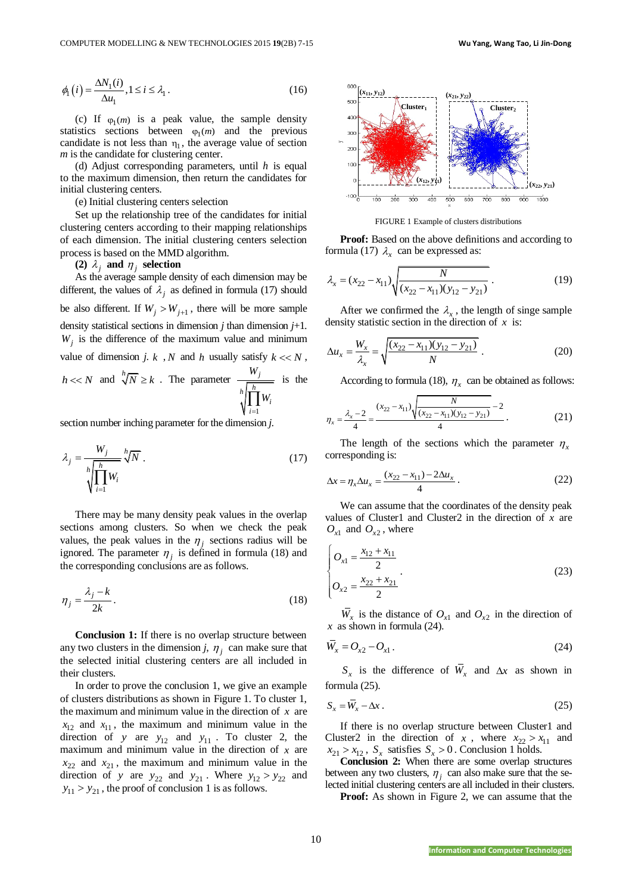$$
\phi_1(i) = \frac{\Delta N_1(i)}{\Delta u_1}, 1 \le i \le \lambda_1.
$$
\n(16)

(c) If  $\varphi_1(m)$  is a peak value, the sample density statistics sections between  $\varphi_1(m)$  and the previous candidate is not less than  $\eta_1$ , the average value of section *m* is the candidate for clustering center.

(d) Adjust corresponding parameters, until *h* is equal to the maximum dimension, then return the candidates for initial clustering centers.

(e) Initial clustering centers selection

Set up the relationship tree of the candidates for initial clustering centers according to their mapping relationships of each dimension. The initial clustering centers selection process is based on the MMD algorithm.

# (2)  $\lambda_j$  and  $\eta_j$  selection

IS  $\frac{1}{2}$  (1)  $\frac{1}{2}$  (1)  $\frac{1}{2}$  (1)  $\frac{1}{2}$  (1)  $\frac{1}{2}$  (1)  $\frac{1}{2}$  (1)  $\frac{1}{2}$  (1)  $\frac{1}{2}$  (1)  $\frac{1}{2}$  (1)  $\frac{1}{2}$  (1)  $\frac{1}{2}$  (1)  $\frac{1}{2}$  (1)  $\frac{1}{2}$  (1)  $\frac{1}{2}$  (1)  $\frac{1}{2}$  (1)  $\frac{1}{2}$ As the average sample density of each dimension may be different, the values of  $\lambda_j$  as defined in formula (17) should be also different. If  $W_j > W_{j+1}$ , there will be more sample density statistical sections in dimension  $j$  than dimension  $j+1$ .  $W_j$  is the difference of the maximum value and minimum value of dimension *j*. *k*, *N* and *h* usually satisfy  $k \ll N$ ,  $h \ll N$  and  $\sqrt[h]{N} \ge k$ . The parameter 1 *j h h i i W W*  $\prod_{i=1}$ is the

section number inching parameter for the dimension *j*.

$$
\lambda_j = \frac{W_j}{\sqrt[h]{\prod_{i=1}^h W_i}} \sqrt[h]{N} \ . \tag{17}
$$

There may be many density peak values in the overlap sections among clusters. So when we check the peak values, the peak values in the  $\eta_j$  sections radius will be ignored. The parameter  $\eta_j$  is defined in formula (18) and the corresponding conclusions are as follows.

$$
\eta_j = \frac{\lambda_j - k}{2k} \,. \tag{18}
$$

**Conclusion 1:** If there is no overlap structure between any two clusters in the dimension *j*,  $\eta_j$  can make sure that the selected initial clustering centers are all included in their clusters.

In order to prove the conclusion 1, we give an example of clusters distributions as shown in Figure 1. To cluster 1, the maximum and minimum value in the direction of  $x$  are  $x_{12}$  and  $x_{11}$ , the maximum and minimum value in the direction of y are  $y_{12}$  and  $y_{11}$ . To cluster 2, the maximum and minimum value in the direction of  $x$  are  $x_{22}$  and  $x_{21}$ , the maximum and minimum value in the direction of y are  $y_{22}$  and  $y_{21}$ . Where  $y_{12} > y_{22}$  and  $y_{11} > y_{21}$ , the proof of conclusion 1 is as follows.



FIGURE 1 Example of clusters distributions

**Proof:** Based on the above definitions and according to formula (17)  $\lambda_x$  can be expressed as:

$$
\lambda_x = (x_{22} - x_{11}) \sqrt{\frac{N}{(x_{22} - x_{11})(y_{12} - y_{21})}}.
$$
\n(19)

After we confirmed the  $\lambda_x$ , the length of singe sample density statistic section in the direction of *x* is:

$$
\Delta u_x = \frac{W_x}{\lambda_x} = \sqrt{\frac{(x_{22} - x_{11})(y_{12} - y_{21})}{N}}.
$$
\n(20)

According to formula (18),  $\eta_x$  can be obtained as follows:

$$
\eta_{x} = \frac{\lambda_{x} - 2}{4} = \frac{(x_{22} - x_{11})\sqrt{\frac{N}{(x_{22} - x_{11})(y_{12} - y_{21})}} - 2}{4}.
$$
 (21)

The length of the sections which the parameter  $\eta_x$ corresponding is:

$$
\Delta x = \eta_x \Delta u_x = \frac{(x_{22} - x_{11}) - 2\Delta u_x}{4} \,. \tag{22}
$$

We can assume that the coordinates of the density peak values of Cluster1 and Cluster2 in the direction of  $x$  are  $O_{x1}$  and  $O_{x2}$ , where

$$
\begin{cases}\nO_{x1} = \frac{x_{12} + x_{11}}{2} \\
O_{x2} = \frac{x_{22} + x_{21}}{2}\n\end{cases}
$$
\n(23)

 $W_x$  is the distance of  $O_{x1}$  and  $O_{x2}$  in the direction of *x* as shown in formula (24).

$$
\overline{W}_x = O_{x2} - O_{x1} \,. \tag{24}
$$

 $S_x$  is the difference of  $W_x$  and  $\Delta x$  as shown in formula (25).

$$
S_x = \overline{W}_x - \Delta x \,. \tag{25}
$$

If there is no overlap structure between Cluster1 and Cluster2 in the direction of x, where  $x_{22} > x_{11}$  and  $x_{21} > x_{12}$ ,  $S_x$  satisfies  $S_x > 0$ . Conclusion 1 holds.

**Conclusion 2:** When there are some overlap structures between any two clusters,  $\eta_j$  can also make sure that the selected initial clustering centers are all included in their clusters.

**Proof:** As shown in Figure 2, we can assume that the

10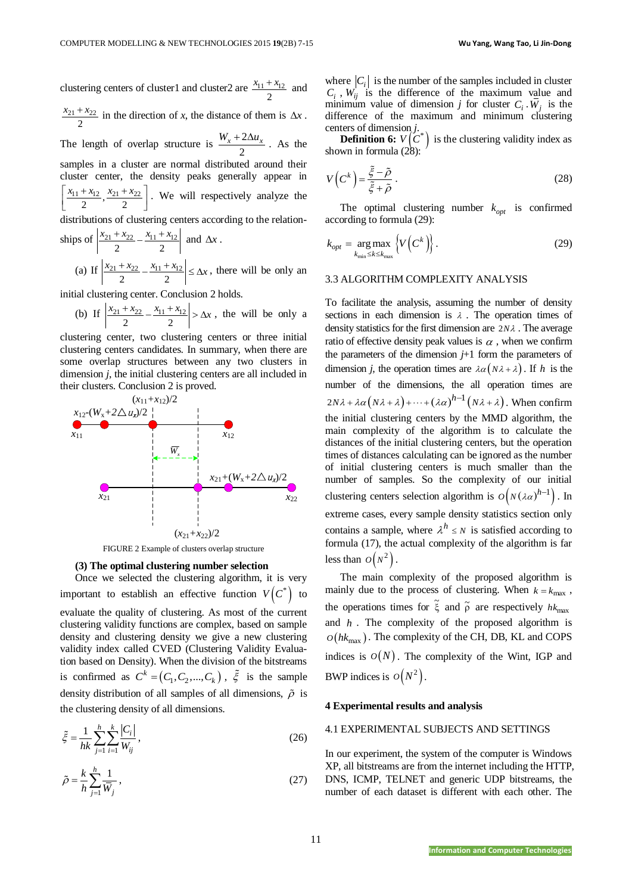clustering centers of cluster1 and cluster2 are  $\frac{x_{11} + x_{12}}{x_{12}}$ 2  $x_{11} + x_{12}$  and  $21 + \lambda_{22}$ 2  $\frac{x_{21} + x_{22}}{x_{21} + x_{22}}$  in the direction of *x*, the distance of them is  $\Delta x$ . The length of overlap structure is  $\frac{W_x + 2}{W_x + 2}$ 2  $\frac{W_x + 2\Delta u_x}{\Delta x}$ . As the samples in a cluster are normal distributed around their cluster center, the density peaks generally appear in  $\frac{x_{11}+x_{12}}{2}, \frac{x_{21}+x_{22}}{2}$  $x_{11} + x_{12}$   $x_{21} + x_{22}$  $\left[\frac{x_{11}+x_{12}}{2}, \frac{x_{21}+x_{22}}{2}\right]$ . We will respectively analyze the distributions of clustering centers according to the relationships of  $\frac{x_{21} + x_{22}}{x_{11} + x_{12}}$  $\overline{2}$  2  $\frac{x_{21} + x_{22}}{x_{11} + x_{12}}$  and  $\Delta x$ .

(a) If  $\left|\frac{x_{21}+x_{22}}{2}-\frac{x_{11}+x_{12}}{2}\right|$  $\left|\frac{x_{21}+x_{22}}{x_{21}-x_{12}}\right| \leq \Delta x$ , there will be only an

initial clustering center. Conclusion 2 holds.

(b) If 
$$
\left| \frac{x_{21} + x_{22}}{2} - \frac{x_{11} + x_{12}}{2} \right| > \Delta x
$$
, the will be only a

clustering center, two clustering centers or three initial clustering centers candidates. In summary, when there are some overlap structures between any two clusters in dimension *j*, the initial clustering centers are all included in their clusters. Conclusion 2 is proved.



FIGURE 2 Example of clusters overlap structure

### **(3) The optimal clustering number selection**

Once we selected the clustering algorithm, it is very important to establish an effective function  $V(C^*)$  to evaluate the quality of clustering. As most of the current clustering validity functions are complex, based on sample density and clustering density we give a new clustering validity index called CVED (Clustering Validity Evaluation based on Density). When the division of the bitstreams is confirmed as  $C^k = (C_1, C_2, ..., C_k)$ ,  $\tilde{\xi}$  is the sample density distribution of all samples of all dimensions,  $\tilde{\rho}$  is the clustering density of all dimensions.

$$
\tilde{\xi} = \frac{1}{hk} \sum_{j=1}^{h} \sum_{i=1}^{k} \frac{|C_i|}{W_{ij}},
$$
\n(26)

$$
\tilde{\rho} = \frac{k}{h} \sum_{j=1}^{h} \frac{1}{\bar{W}_j},\tag{27}
$$

where  $|C_i|$  is the number of the samples included in cluster  $C_i$ ,  $W_{ij}$  is the difference of the maximum value and minimum value of dimension *j* for cluster  $C_i$ .  $W_j$  is the difference of the maximum and minimum clustering centers of dimension *j*.

**Definition 6:**  $V(C^*)$  is the clustering validity index as shown in formula (28):

$$
V\left(C^k\right) = \frac{\tilde{\xi} - \tilde{\rho}}{\tilde{\xi} + \tilde{\rho}}\,. \tag{28}
$$

The optimal clustering number  $k_{opt}$  is confirmed according to formula (29):

$$
k_{opt} = \underset{k_{\min} \le k \le k_{\max}}{\arg \max} \left\{ V\left(C^k\right) \right\}.
$$
 (29)

### 3.3 ALGORITHM COMPLEXITY ANALYSIS

To facilitate the analysis, assuming the number of density sections in each dimension is  $\lambda$ . The operation times of density statistics for the first dimension are 2*N* . The average ratio of effective density peak values is  $\alpha$ , when we confirm the parameters of the dimension  $j+1$  form the parameters of dimension *j*, the operation times are  $\lambda \alpha (N\lambda + \lambda)$ . If *h* is the number of the dimensions, the all operation times are  $2N\lambda + \lambda \alpha (N\lambda + \lambda) + \cdots + (\lambda \alpha)^{h-1} (N\lambda + \lambda)$ . When confirm the initial clustering centers by the MMD algorithm, the main complexity of the algorithm is to calculate the distances of the initial clustering centers, but the operation times of distances calculating can be ignored as the number of initial clustering centers is much smaller than the number of samples. So the complexity of our initial clustering centers selection algorithm is  $o(N(\lambda \alpha)^{h-1})$ . In extreme cases, every sample density statistics section only contains a sample, where  $\lambda^h \leq N$  is satisfied according to formula (17), the actual complexity of the algorithm is far less than  $O(N^2)$ .

The main complexity of the proposed algorithm is mainly due to the process of clustering. When  $k = k_{\text{max}}$ , the operations times for  $\tilde{\xi}$  and  $\tilde{\rho}$  are respectively  $hk_{\text{max}}$ and *h* . The complexity of the proposed algorithm is  $O(hk_{\text{max}})$ . The complexity of the CH, DB, KL and COPS indices is  $O(N)$ . The complexity of the Wint, IGP and BWP indices is  $O(N^2)$ .

### **4 Experimental results and analysis**

### 4.1 EXPERIMENTAL SUBJECTS AND SETTINGS

In our experiment, the system of the computer is Windows XP, all bitstreams are from the internet including the HTTP, DNS, ICMP, TELNET and generic UDP bitstreams, the number of each dataset is different with each other. The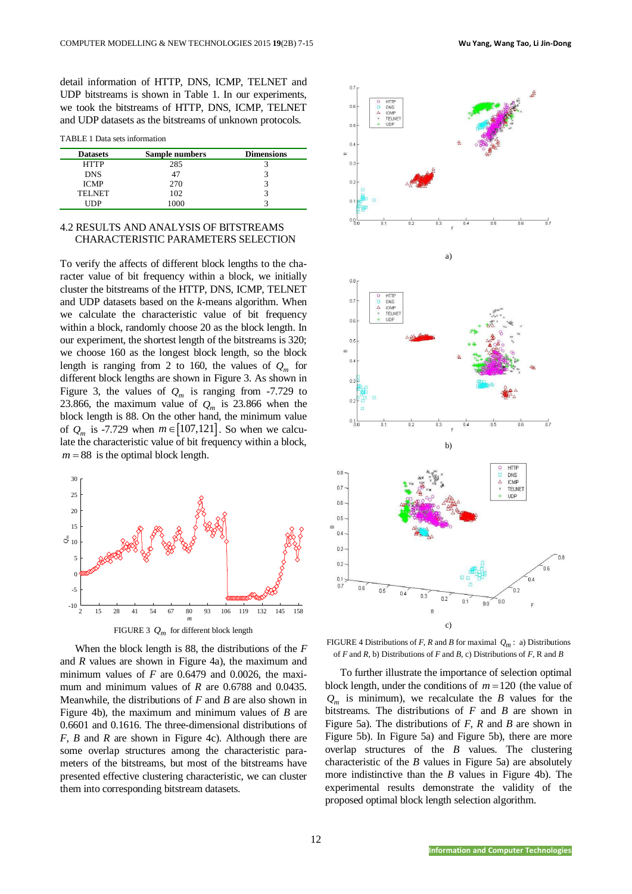detail information of HTTP, DNS, ICMP, TELNET and UDP bitstreams is shown in Table 1. In our experiments, we took the bitstreams of HTTP, DNS, ICMP, TELNET and UDP datasets as the bitstreams of unknown protocols.

TABLE 1 Data sets information

| <b>Datasets</b> | Sample numbers | <b>Dimensions</b> |
|-----------------|----------------|-------------------|
| <b>HTTP</b>     | 285            |                   |
| <b>DNS</b>      |                |                   |
| <b>ICMP</b>     | 270            |                   |
| <b>TELNET</b>   | 102            |                   |
| IDP             | ooc            |                   |

# 4.2 RESULTS AND ANALYSIS OF BITSTREAMS CHARACTERISTIC PARAMETERS SELECTION

To verify the affects of different block lengths to the character value of bit frequency within a block, we initially cluster the bitstreams of the HTTP, DNS, ICMP, TELNET and UDP datasets based on the *k*-means algorithm. When we calculate the characteristic value of bit frequency within a block, randomly choose 20 as the block length. In our experiment, the shortest length of the bitstreams is 320; we choose 160 as the longest block length, so the block length is ranging from 2 to 160, the values of  $Q_m$  for different block lengths are shown in Figure 3. As shown in Figure 3, the values of  $Q_m$  is ranging from -7.729 to 23.866, the maximum value of  $Q_m$  is 23.866 when the block length is 88. On the other hand, the minimum value of  $Q_m$  is -7.729 when  $m \in [107, 121]$ . So when we calculate the characteristic value of bit frequency within a block,  $m = 88$  is the optimal block length.



When the block length is 88, the distributions of the *F*  and *R* values are shown in Figure 4a), the maximum and minimum values of *F* are 0.6479 and 0.0026, the maximum and minimum values of *R* are 0.6788 and 0.0435. Meanwhile, the distributions of *F* and *B* are also shown in Figure 4b), the maximum and minimum values of *B* are 0.6601 and 0.1616. The three-dimensional distributions of *F*, *B* and *R* are shown in Figure 4c). Although there are some overlap structures among the characteristic parameters of the bitstreams, but most of the bitstreams have presented effective clustering characteristic, we can cluster them into corresponding bitstream datasets.



FIGURE 4 Distributions of *F*, *R* and *B* for maximal  $Q_m$ : a) Distributions of *F* and *R*, b) Distributions of *F* and *B*, c) Distributions of *F*, R and *B*

To further illustrate the importance of selection optimal block length, under the conditions of  $m = 120$  (the value of  $Q_m$  is minimum), we recalculate the *B* values for the bitstreams. The distributions of *F* and *B* are shown in Figure 5a). The distributions of *F*, *R* and *B* are shown in Figure 5b). In Figure 5a) and Figure 5b), there are more overlap structures of the *B* values. The clustering characteristic of the *B* values in Figure 5a) are absolutely more indistinctive than the *B* values in Figure 4b). The experimental results demonstrate the validity of the proposed optimal block length selection algorithm.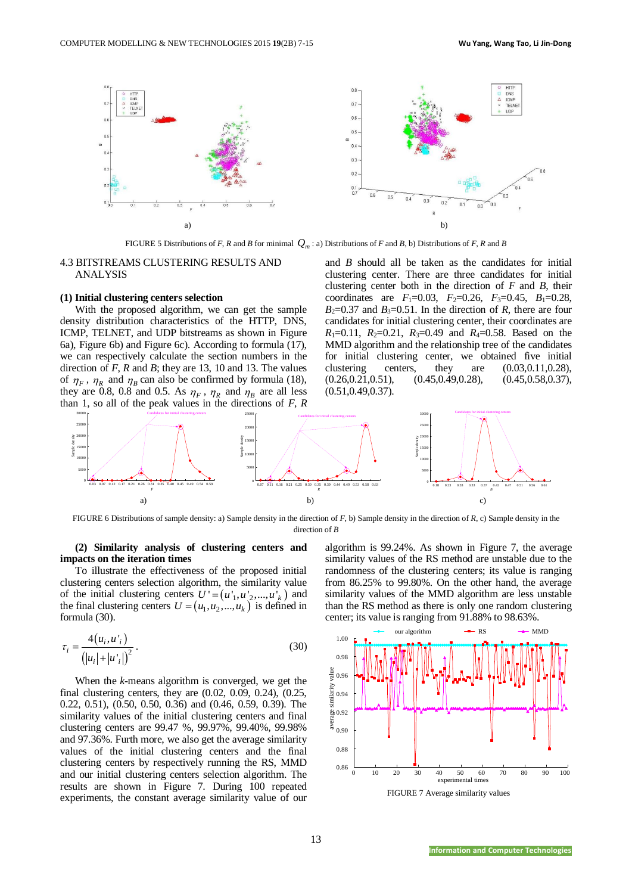

FIGURE 5 Distributions of *F*, *R* and *B* for minimal  $Q_m$ : a) Distributions of *F* and *B*, b) Distributions of *F*, *R* and *B* 

### 4.3 BITSTREAMS CLUSTERING RESULTS AND ANALYSIS

### **(1) Initial clustering centers selection**

With the proposed algorithm, we can get the sample density distribution characteristics of the HTTP, DNS, ICMP, TELNET, and UDP bitstreams as shown in Figure 6a), Figure 6b) and Figure 6c). According to formula (17), we can respectively calculate the section numbers in the direction of *F*, *R* and *B*; they are 13, 10 and 13. The values of  $\eta_F$ ,  $\eta_R$  and  $\eta_B$  can also be confirmed by formula (18), they are 0.8, 0.8 and 0.5. As  $\eta_F$ ,  $\eta_R$  and  $\eta_B$  are all less than 1, so all of the peak values in the directions of *F*, *R*

and *B* should all be taken as the candidates for initial clustering center. There are three candidates for initial clustering center both in the direction of *F* and *B*, their coordinates are  $F_1=0.03$ ,  $F_2=0.26$ ,  $F_3=0.45$ ,  $B_1=0.28$ ,  $B_2=0.37$  and  $B_3=0.51$ . In the direction of *R*, there are four candidates for initial clustering center, their coordinates are  $R_1=0.11$ ,  $R_2=0.21$ ,  $R_3=0.49$  and  $R_4=0.58$ . Based on the MMD algorithm and the relationship tree of the candidates for initial clustering center, we obtained five initial clustering centers, they are (0.03,0.11,0.28),  $(0.26, 0.21, 0.51),$   $(0.45, 0.49, 0.28),$   $(0.45, 0.58, 0.37),$ (0.51,0.49,0.37).



FIGURE 6 Distributions of sample density: a) Sample density in the direction of *F*, b) Sample density in the direction of *R*, c) Sample density in the direction of *B*

### **(2) Similarity analysis of clustering centers and impacts on the iteration times**

To illustrate the effectiveness of the proposed initial clustering centers selection algorithm, the similarity value of the initial clustering centers  $U = (u'_1, u'_2, ..., u'_k)$  and the final clustering centers  $U = (u_1, u_2, ..., u_k)$  is defined in formula (30).

$$
\tau_i = \frac{4(u_i, u'_i)}{(|u_i| + |u'_i|)^2}.
$$
\n(30)

When the *k*-means algorithm is converged, we get the final clustering centers, they are (0.02, 0.09, 0.24), (0.25, 0.22, 0.51), (0.50, 0.50, 0.36) and (0.46, 0.59, 0.39). The similarity values of the initial clustering centers and final clustering centers are 99.47 %, 99.97%, 99.40%, 99.98% and 97.36%. Furth more, we also get the average similarity values of the initial clustering centers and the final clustering centers by respectively running the RS, MMD and our initial clustering centers selection algorithm. The results are shown in Figure 7. During 100 repeated experiments, the constant average similarity value of our

algorithm is 99.24%. As shown in Figure 7, the average similarity values of the RS method are unstable due to the randomness of the clustering centers; its value is ranging from 86.25% to 99.80%. On the other hand, the average similarity values of the MMD algorithm are less unstable than the RS method as there is only one random clustering center; its value is ranging from 91.88% to 98.63%.

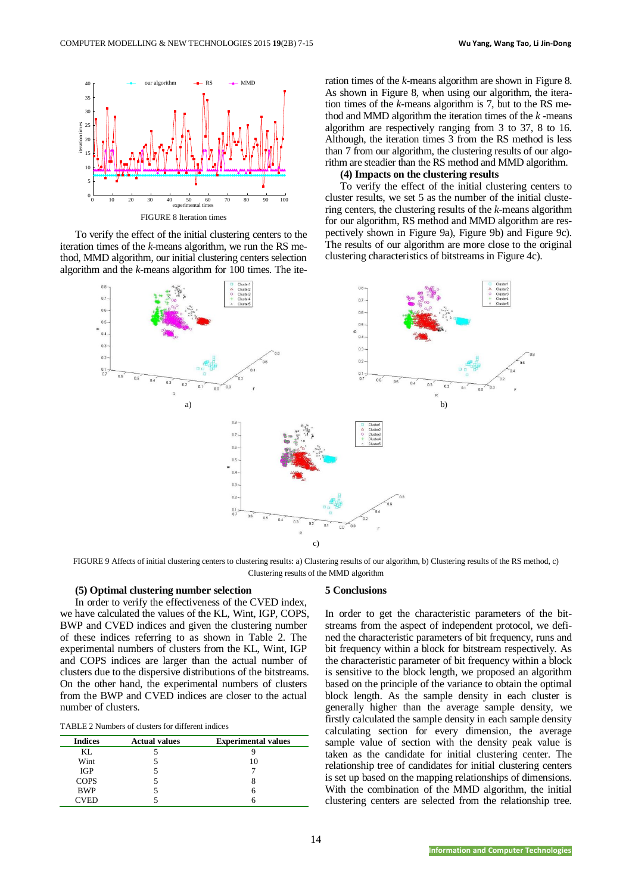

To verify the effect of the initial clustering centers to the iteration times of the *k*-means algorithm, we run the RS method, MMD algorithm, our initial clustering centers selection algorithm and the *k*-means algorithm for 100 times. The iteration times of the *k*-means algorithm are shown in Figure 8. As shown in Figure 8, when using our algorithm, the iteration times of the *k*-means algorithm is 7, but to the RS method and MMD algorithm the iteration times of the *k* -means algorithm are respectively ranging from 3 to 37, 8 to 16. Although, the iteration times 3 from the RS method is less than 7 from our algorithm, the clustering results of our algorithm are steadier than the RS method and MMD algorithm.

## **(4) Impacts on the clustering results**

To verify the effect of the initial clustering centers to cluster results, we set 5 as the number of the initial clustering centers, the clustering results of the *k*-means algorithm for our algorithm, RS method and MMD algorithm are respectively shown in Figure 9a), Figure 9b) and Figure 9c). The results of our algorithm are more close to the original clustering characteristics of bitstreams in Figure 4c).



FIGURE 9 Affects of initial clustering centers to clustering results: a) Clustering results of our algorithm, b) Clustering results of the RS method, c) Clustering results of the MMD algorithm

### **(5) Optimal clustering number selection**

In order to verify the effectiveness of the CVED index, we have calculated the values of the KL, Wint, IGP, COPS, BWP and CVED indices and given the clustering number of these indices referring to as shown in Table 2. The experimental numbers of clusters from the KL, Wint, IGP and COPS indices are larger than the actual number of clusters due to the dispersive distributions of the bitstreams. On the other hand, the experimental numbers of clusters from the BWP and CVED indices are closer to the actual number of clusters.

| <b>Indices</b> | <b>Actual values</b> | <b>Experimental values</b> |
|----------------|----------------------|----------------------------|
| KL.            |                      |                            |
| Wint           |                      |                            |
| <b>IGP</b>     |                      |                            |
| <b>COPS</b>    |                      |                            |
| <b>BWP</b>     |                      |                            |
| VFD            |                      |                            |

#### **5 Conclusions**

In order to get the characteristic parameters of the bitstreams from the aspect of independent protocol, we defined the characteristic parameters of bit frequency, runs and bit frequency within a block for bitstream respectively. As the characteristic parameter of bit frequency within a block is sensitive to the block length, we proposed an algorithm based on the principle of the variance to obtain the optimal block length. As the sample density in each cluster is generally higher than the average sample density, we firstly calculated the sample density in each sample density calculating section for every dimension, the average sample value of section with the density peak value is taken as the candidate for initial clustering center. The relationship tree of candidates for initial clustering centers is set up based on the mapping relationships of dimensions. With the combination of the MMD algorithm, the initial clustering centers are selected from the relationship tree.